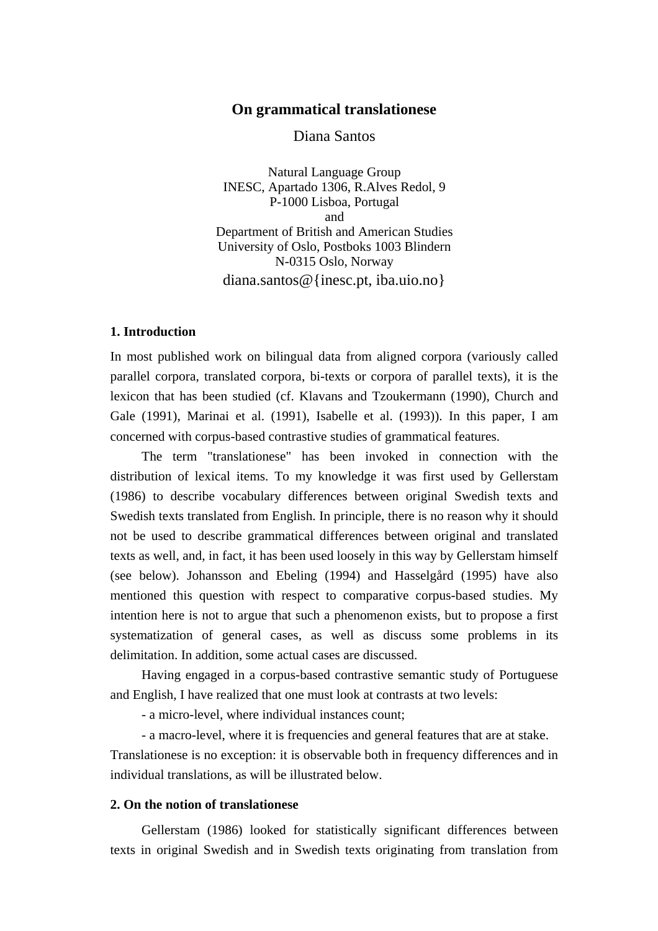# **On grammatical translationese**

Diana Santos

Natural Language Group INESC, Apartado 1306, R.Alves Redol, 9 P-1000 Lisboa, Portugal and Department of British and American Studies University of Oslo, Postboks 1003 Blindern N-0315 Oslo, Norway diana.santos@{inesc.pt, iba.uio.no}

## **1. Introduction**

In most published work on bilingual data from aligned corpora (variously called parallel corpora, translated corpora, bi-texts or corpora of parallel texts), it is the lexicon that has been studied (cf. Klavans and Tzoukermann (1990), Church and Gale (1991), Marinai et al. (1991), Isabelle et al. (1993)). In this paper, I am concerned with corpus-based contrastive studies of grammatical features.

The term "translationese" has been invoked in connection with the distribution of lexical items. To my knowledge it was first used by Gellerstam (1986) to describe vocabulary differences between original Swedish texts and Swedish texts translated from English. In principle, there is no reason why it should not be used to describe grammatical differences between original and translated texts as well, and, in fact, it has been used loosely in this way by Gellerstam himself (see below). Johansson and Ebeling (1994) and Hasselgård (1995) have also mentioned this question with respect to comparative corpus-based studies. My intention here is not to argue that such a phenomenon exists, but to propose a first systematization of general cases, as well as discuss some problems in its delimitation. In addition, some actual cases are discussed.

Having engaged in a corpus-based contrastive semantic study of Portuguese and English, I have realized that one must look at contrasts at two levels:

- a micro-level, where individual instances count;

- a macro-level, where it is frequencies and general features that are at stake.

Translationese is no exception: it is observable both in frequency differences and in individual translations, as will be illustrated below.

# **2. On the notion of translationese**

Gellerstam (1986) looked for statistically significant differences between texts in original Swedish and in Swedish texts originating from translation from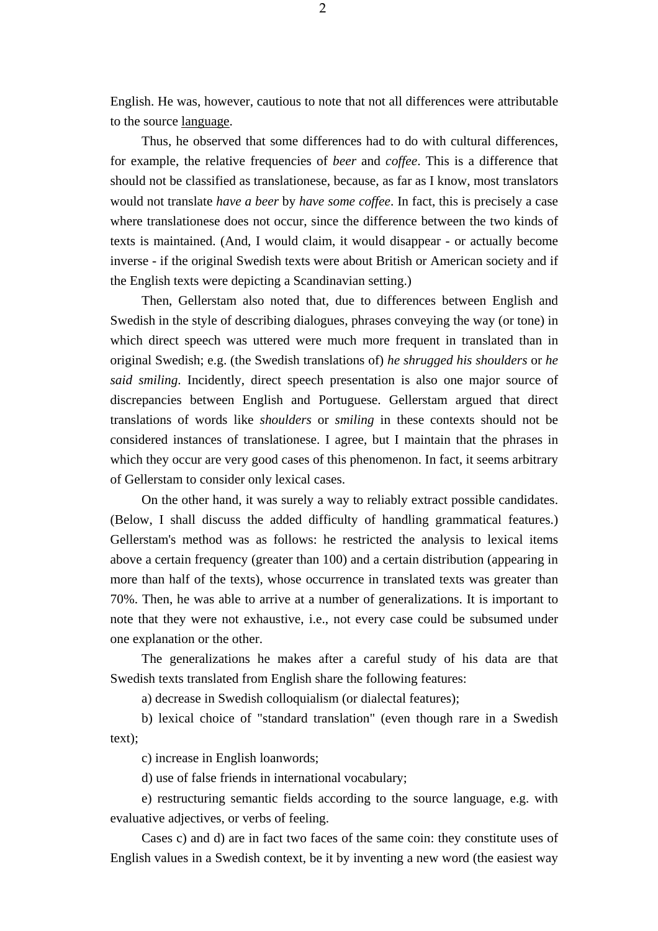English. He was, however, cautious to note that not all differences were attributable to the source language.

Thus, he observed that some differences had to do with cultural differences, for example, the relative frequencies of *beer* and *coffee*. This is a difference that should not be classified as translationese, because, as far as I know, most translators would not translate *have a beer* by *have some coffee*. In fact, this is precisely a case where translationese does not occur, since the difference between the two kinds of texts is maintained. (And, I would claim, it would disappear - or actually become inverse - if the original Swedish texts were about British or American society and if the English texts were depicting a Scandinavian setting.)

Then, Gellerstam also noted that, due to differences between English and Swedish in the style of describing dialogues, phrases conveying the way (or tone) in which direct speech was uttered were much more frequent in translated than in original Swedish; e.g. (the Swedish translations of) *he shrugged his shoulders* or *he said smiling*. Incidently, direct speech presentation is also one major source of discrepancies between English and Portuguese. Gellerstam argued that direct translations of words like *shoulders* or *smiling* in these contexts should not be considered instances of translationese. I agree, but I maintain that the phrases in which they occur are very good cases of this phenomenon. In fact, it seems arbitrary of Gellerstam to consider only lexical cases.

On the other hand, it was surely a way to reliably extract possible candidates. (Below, I shall discuss the added difficulty of handling grammatical features.) Gellerstam's method was as follows: he restricted the analysis to lexical items above a certain frequency (greater than 100) and a certain distribution (appearing in more than half of the texts), whose occurrence in translated texts was greater than 70%. Then, he was able to arrive at a number of generalizations. It is important to note that they were not exhaustive, i.e., not every case could be subsumed under one explanation or the other.

The generalizations he makes after a careful study of his data are that Swedish texts translated from English share the following features:

a) decrease in Swedish colloquialism (or dialectal features);

b) lexical choice of "standard translation" (even though rare in a Swedish text);

c) increase in English loanwords;

d) use of false friends in international vocabulary;

e) restructuring semantic fields according to the source language, e.g. with evaluative adjectives, or verbs of feeling.

Cases c) and d) are in fact two faces of the same coin: they constitute uses of English values in a Swedish context, be it by inventing a new word (the easiest way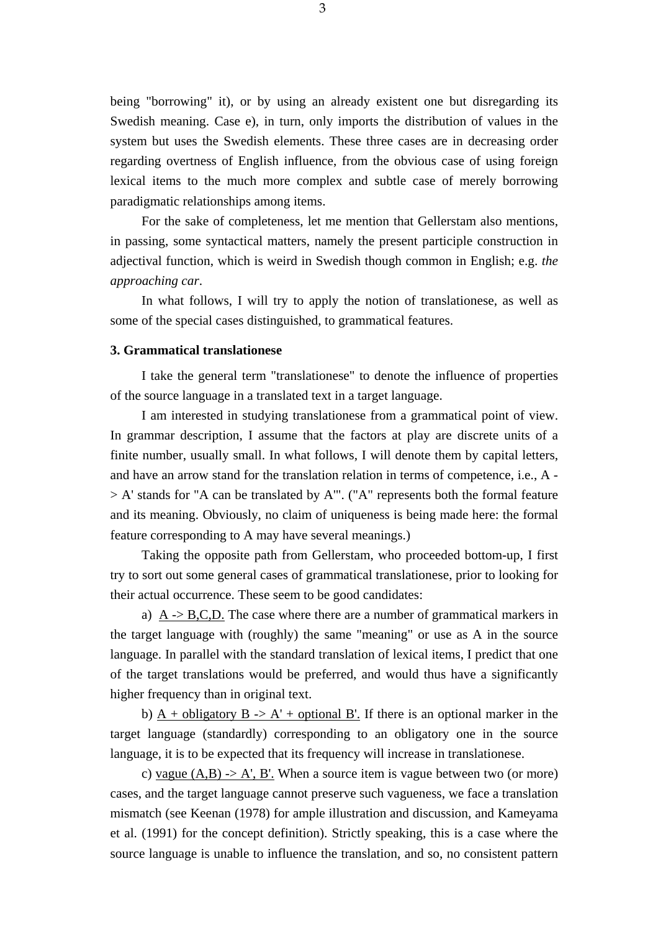being "borrowing" it), or by using an already existent one but disregarding its Swedish meaning. Case e), in turn, only imports the distribution of values in the system but uses the Swedish elements. These three cases are in decreasing order regarding overtness of English influence, from the obvious case of using foreign lexical items to the much more complex and subtle case of merely borrowing paradigmatic relationships among items.

For the sake of completeness, let me mention that Gellerstam also mentions, in passing, some syntactical matters, namely the present participle construction in adjectival function, which is weird in Swedish though common in English; e.g. *the approaching car*.

In what follows, I will try to apply the notion of translationese, as well as some of the special cases distinguished, to grammatical features.

### **3. Grammatical translationese**

I take the general term "translationese" to denote the influence of properties of the source language in a translated text in a target language.

I am interested in studying translationese from a grammatical point of view. In grammar description, I assume that the factors at play are discrete units of a finite number, usually small. In what follows, I will denote them by capital letters, and have an arrow stand for the translation relation in terms of competence, i.e., A - > A' stands for "A can be translated by A'". ("A" represents both the formal feature and its meaning. Obviously, no claim of uniqueness is being made here: the formal feature corresponding to A may have several meanings.)

Taking the opposite path from Gellerstam, who proceeded bottom-up, I first try to sort out some general cases of grammatical translationese, prior to looking for their actual occurrence. These seem to be good candidates:

a) A -> B,C,D. The case where there are a number of grammatical markers in the target language with (roughly) the same "meaning" or use as A in the source language. In parallel with the standard translation of lexical items, I predict that one of the target translations would be preferred, and would thus have a significantly higher frequency than in original text.

b) A + obligatory B  $\rightarrow$  A' + optional B'. If there is an optional marker in the target language (standardly) corresponding to an obligatory one in the source language, it is to be expected that its frequency will increase in translationese.

c) vague  $(A,B)$  -> A', B'. When a source item is vague between two (or more) cases, and the target language cannot preserve such vagueness, we face a translation mismatch (see Keenan (1978) for ample illustration and discussion, and Kameyama et al. (1991) for the concept definition). Strictly speaking, this is a case where the source language is unable to influence the translation, and so, no consistent pattern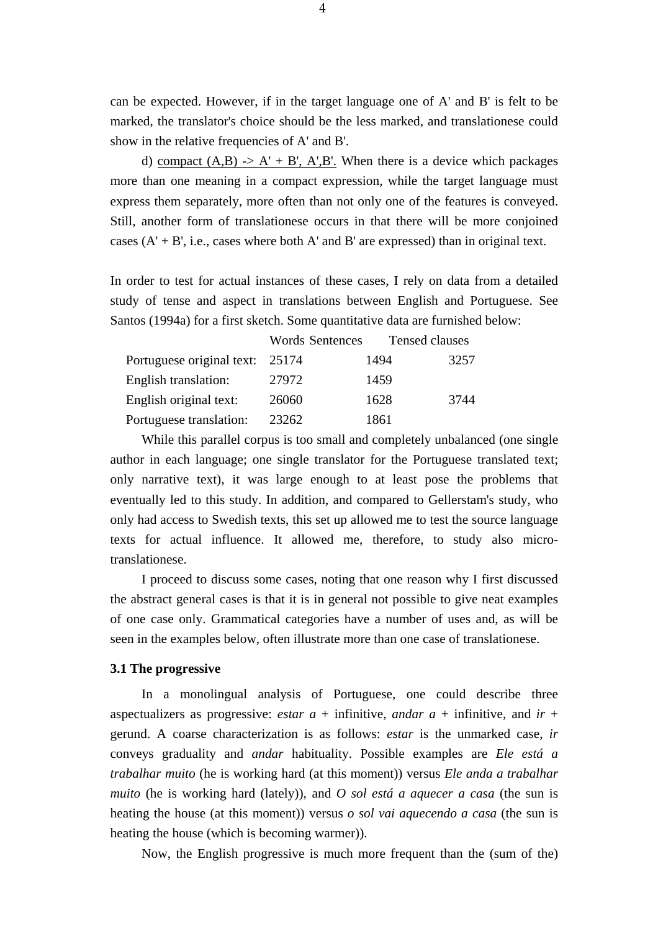can be expected. However, if in the target language one of A' and B' is felt to be marked, the translator's choice should be the less marked, and translationese could show in the relative frequencies of A' and B'.

d) compact  $(A,B) \rightarrow A' + B'$ , A',B'. When there is a device which packages more than one meaning in a compact expression, while the target language must express them separately, more often than not only one of the features is conveyed. Still, another form of translationese occurs in that there will be more conjoined cases  $(A' + B', i.e., cases where both A' and B' are expressed) than in original text.$ 

In order to test for actual instances of these cases, I rely on data from a detailed study of tense and aspect in translations between English and Portuguese. See Santos (1994a) for a first sketch. Some quantitative data are furnished below:

|                           | <b>Words Sentences</b> | Tensed clauses |      |
|---------------------------|------------------------|----------------|------|
| Portuguese original text: | 25174                  | 1494           | 3257 |
| English translation:      | 27972                  | 1459           |      |
| English original text:    | 26060                  | 1628           | 3744 |
| Portuguese translation:   | 23262                  | 1861           |      |

While this parallel corpus is too small and completely unbalanced (one single author in each language; one single translator for the Portuguese translated text; only narrative text), it was large enough to at least pose the problems that eventually led to this study. In addition, and compared to Gellerstam's study, who only had access to Swedish texts, this set up allowed me to test the source language texts for actual influence. It allowed me, therefore, to study also microtranslationese.

I proceed to discuss some cases, noting that one reason why I first discussed the abstract general cases is that it is in general not possible to give neat examples of one case only. Grammatical categories have a number of uses and, as will be seen in the examples below, often illustrate more than one case of translationese.

#### **3.1 The progressive**

In a monolingual analysis of Portuguese, one could describe three aspectualizers as progressive: *estar*  $a +$  infinitive, *andar*  $a +$  infinitive, and  $ir +$ gerund. A coarse characterization is as follows: *estar* is the unmarked case, *ir* conveys graduality and *andar* habituality. Possible examples are *Ele está a trabalhar muito* (he is working hard (at this moment)) versus *Ele anda a trabalhar muito* (he is working hard (lately)), and *O sol está a aquecer a casa* (the sun is heating the house (at this moment)) versus *o sol vai aquecendo a casa* (the sun is heating the house (which is becoming warmer)).

Now, the English progressive is much more frequent than the (sum of the)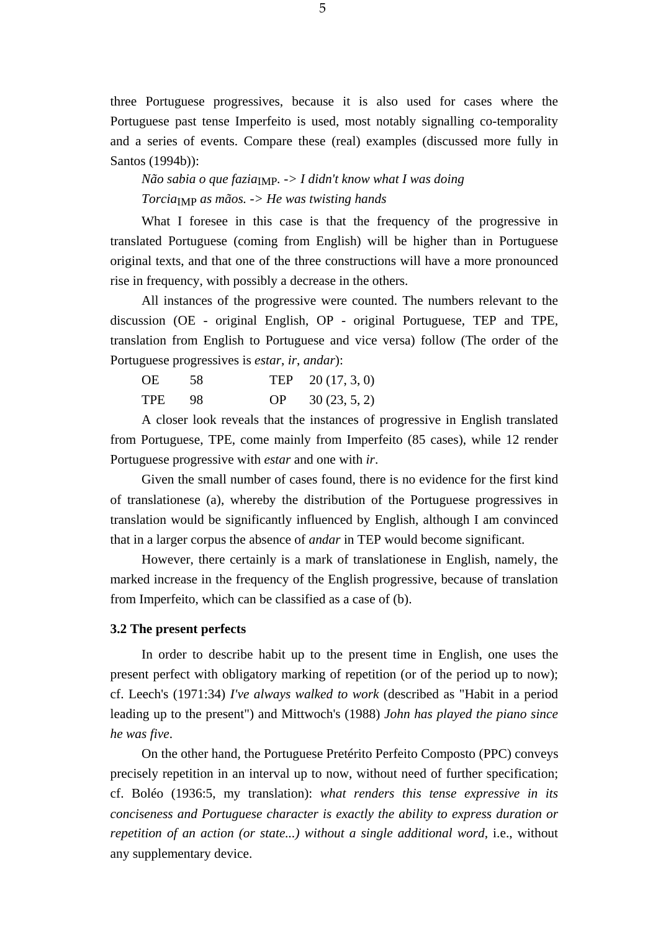three Portuguese progressives, because it is also used for cases where the Portuguese past tense Imperfeito is used, most notably signalling co-temporality and a series of events. Compare these (real) examples (discussed more fully in Santos (1994b)):

*Não sabia o que fazia*<sub>IMP</sub>. -> *I didn't know what I was doing Torcia*IMP *as mãos. -> He was twisting hands* 

What I foresee in this case is that the frequency of the progressive in translated Portuguese (coming from English) will be higher than in Portuguese original texts, and that one of the three constructions will have a more pronounced rise in frequency, with possibly a decrease in the others.

All instances of the progressive were counted. The numbers relevant to the discussion (OE - original English, OP - original Portuguese, TEP and TPE, translation from English to Portuguese and vice versa) follow (The order of the Portuguese progressives is *estar*, *ir*, *andar*):

| <b>OE</b> | 58 | TEP $20(17, 3, 0)$ |
|-----------|----|--------------------|
| TPE 98    |    | OP 30 $(23, 5, 2)$ |

A closer look reveals that the instances of progressive in English translated from Portuguese, TPE, come mainly from Imperfeito (85 cases), while 12 render Portuguese progressive with *estar* and one with *ir*.

Given the small number of cases found, there is no evidence for the first kind of translationese (a), whereby the distribution of the Portuguese progressives in translation would be significantly influenced by English, although I am convinced that in a larger corpus the absence of *andar* in TEP would become significant.

However, there certainly is a mark of translationese in English, namely, the marked increase in the frequency of the English progressive, because of translation from Imperfeito, which can be classified as a case of (b).

#### **3.2 The present perfects**

In order to describe habit up to the present time in English, one uses the present perfect with obligatory marking of repetition (or of the period up to now); cf. Leech's (1971:34) *I've always walked to work* (described as "Habit in a period leading up to the present") and Mittwoch's (1988) *John has played the piano since he was five*.

On the other hand, the Portuguese Pretérito Perfeito Composto (PPC) conveys precisely repetition in an interval up to now, without need of further specification; cf. Boléo (1936:5, my translation): *what renders this tense expressive in its conciseness and Portuguese character is exactly the ability to express duration or repetition of an action (or state...) without a single additional word*, i.e., without any supplementary device.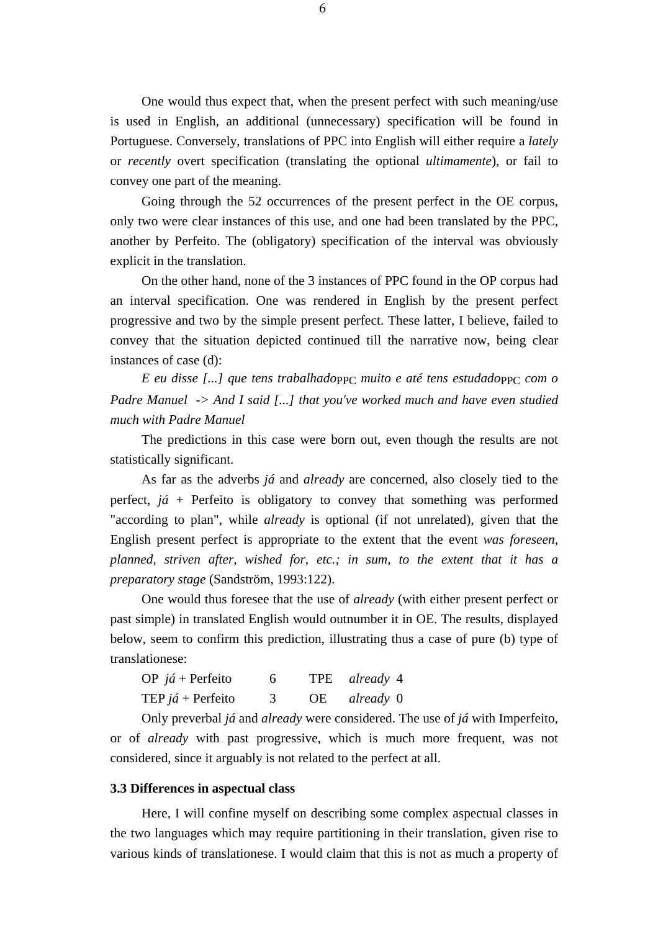One would thus expect that, when the present perfect with such meaning/use is used in English, an additional (unnecessary) specification will be found in Portuguese. Conversely, translations of PPC into English will either require a *lately* or *recently* overt specification (translating the optional *ultimamente*), or fail to convey one part of the meaning.

Going through the 52 occurrences of the present perfect in the OE corpus, only two were clear instances of this use, and one had been translated by the PPC, another by Perfeito. The (obligatory) specification of the interval was obviously explicit in the translation.

On the other hand, none of the 3 instances of PPC found in the OP corpus had an interval specification. One was rendered in English by the present perfect progressive and two by the simple present perfect. These latter, I believe, failed to convey that the situation depicted continued till the narrative now, being clear instances of case (d):

*E eu disse [...] que tens trabalhado*PPC *muito e até tens estudado*PPC *com o Padre Manuel -> And I said [...] that you've worked much and have even studied much with Padre Manuel* 

The predictions in this case were born out, even though the results are not statistically significant.

As far as the adverbs *já* and *already* are concerned, also closely tied to the perfect, *já* + Perfeito is obligatory to convey that something was performed "according to plan", while *already* is optional (if not unrelated), given that the English present perfect is appropriate to the extent that the event *was foreseen, planned, striven after, wished for, etc.; in sum, to the extent that it has a preparatory stage* (Sandström, 1993:122).

One would thus foresee that the use of *already* (with either present perfect or past simple) in translated English would outnumber it in OE. The results, displayed below, seem to confirm this prediction, illustrating thus a case of pure (b) type of translationese:

| OP $j\acute{a}$ + Perfeito | 6 | TPE already 4 |
|----------------------------|---|---------------|
| TEP <i>já</i> + Perfeito   |   | OE already 0  |

Only preverbal *já* and *already* were considered. The use of *já* with Imperfeito, or of *already* with past progressive, which is much more frequent, was not considered, since it arguably is not related to the perfect at all.

#### **3.3 Differences in aspectual class**

Here, I will confine myself on describing some complex aspectual classes in the two languages which may require partitioning in their translation, given rise to various kinds of translationese. I would claim that this is not as much a property of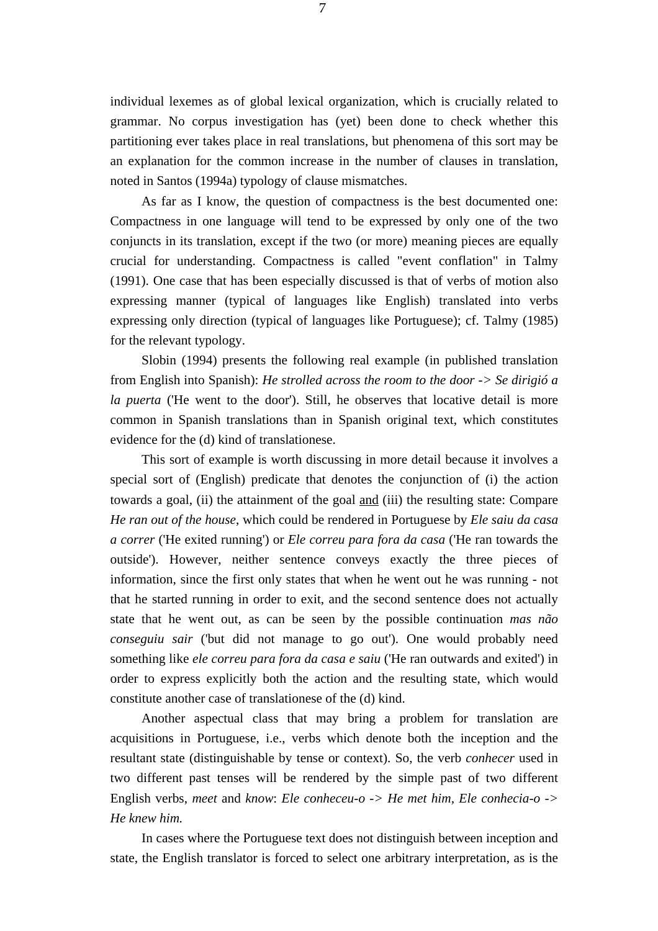individual lexemes as of global lexical organization, which is crucially related to grammar. No corpus investigation has (yet) been done to check whether this partitioning ever takes place in real translations, but phenomena of this sort may be an explanation for the common increase in the number of clauses in translation, noted in Santos (1994a) typology of clause mismatches.

As far as I know, the question of compactness is the best documented one: Compactness in one language will tend to be expressed by only one of the two conjuncts in its translation, except if the two (or more) meaning pieces are equally crucial for understanding. Compactness is called "event conflation" in Talmy (1991). One case that has been especially discussed is that of verbs of motion also expressing manner (typical of languages like English) translated into verbs expressing only direction (typical of languages like Portuguese); cf. Talmy (1985) for the relevant typology.

Slobin (1994) presents the following real example (in published translation from English into Spanish): *He strolled across the room to the door -> Se dirigió a la puerta* ('He went to the door'). Still, he observes that locative detail is more common in Spanish translations than in Spanish original text, which constitutes evidence for the (d) kind of translationese.

This sort of example is worth discussing in more detail because it involves a special sort of (English) predicate that denotes the conjunction of (i) the action towards a goal, (ii) the attainment of the goal and (iii) the resulting state: Compare *He ran out of the house*, which could be rendered in Portuguese by *Ele saiu da casa a correr* ('He exited running') or *Ele correu para fora da casa* ('He ran towards the outside'). However, neither sentence conveys exactly the three pieces of information, since the first only states that when he went out he was running - not that he started running in order to exit, and the second sentence does not actually state that he went out, as can be seen by the possible continuation *mas não conseguiu sair* ('but did not manage to go out'). One would probably need something like *ele correu para fora da casa e saiu* ('He ran outwards and exited') in order to express explicitly both the action and the resulting state, which would constitute another case of translationese of the (d) kind.

Another aspectual class that may bring a problem for translation are acquisitions in Portuguese, i.e., verbs which denote both the inception and the resultant state (distinguishable by tense or context). So, the verb *conhecer* used in two different past tenses will be rendered by the simple past of two different English verbs, *meet* and *know*: *Ele conheceu-o -> He met him, Ele conhecia-o -> He knew him.* 

In cases where the Portuguese text does not distinguish between inception and state, the English translator is forced to select one arbitrary interpretation, as is the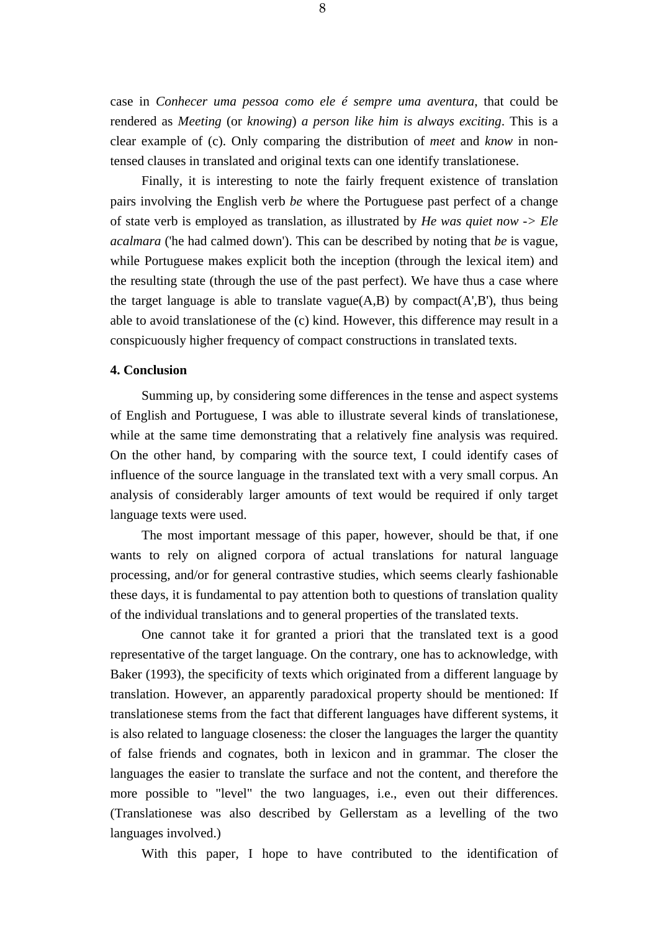case in *Conhecer uma pessoa como ele é sempre uma aventura*, that could be rendered as *Meeting* (or *knowing*) *a person like him is always exciting*. This is a clear example of (c). Only comparing the distribution of *meet* and *know* in nontensed clauses in translated and original texts can one identify translationese.

Finally, it is interesting to note the fairly frequent existence of translation pairs involving the English verb *be* where the Portuguese past perfect of a change of state verb is employed as translation, as illustrated by *He was quiet now -> Ele acalmara* ('he had calmed down'). This can be described by noting that *be* is vague, while Portuguese makes explicit both the inception (through the lexical item) and the resulting state (through the use of the past perfect). We have thus a case where the target language is able to translate vague $(A,B)$  by compact $(A',B')$ , thus being able to avoid translationese of the (c) kind. However, this difference may result in a conspicuously higher frequency of compact constructions in translated texts.

## **4. Conclusion**

Summing up, by considering some differences in the tense and aspect systems of English and Portuguese, I was able to illustrate several kinds of translationese, while at the same time demonstrating that a relatively fine analysis was required. On the other hand, by comparing with the source text, I could identify cases of influence of the source language in the translated text with a very small corpus. An analysis of considerably larger amounts of text would be required if only target language texts were used.

The most important message of this paper, however, should be that, if one wants to rely on aligned corpora of actual translations for natural language processing, and/or for general contrastive studies, which seems clearly fashionable these days, it is fundamental to pay attention both to questions of translation quality of the individual translations and to general properties of the translated texts.

One cannot take it for granted a priori that the translated text is a good representative of the target language. On the contrary, one has to acknowledge, with Baker (1993), the specificity of texts which originated from a different language by translation. However, an apparently paradoxical property should be mentioned: If translationese stems from the fact that different languages have different systems, it is also related to language closeness: the closer the languages the larger the quantity of false friends and cognates, both in lexicon and in grammar. The closer the languages the easier to translate the surface and not the content, and therefore the more possible to "level" the two languages, i.e., even out their differences. (Translationese was also described by Gellerstam as a levelling of the two languages involved.)

With this paper, I hope to have contributed to the identification of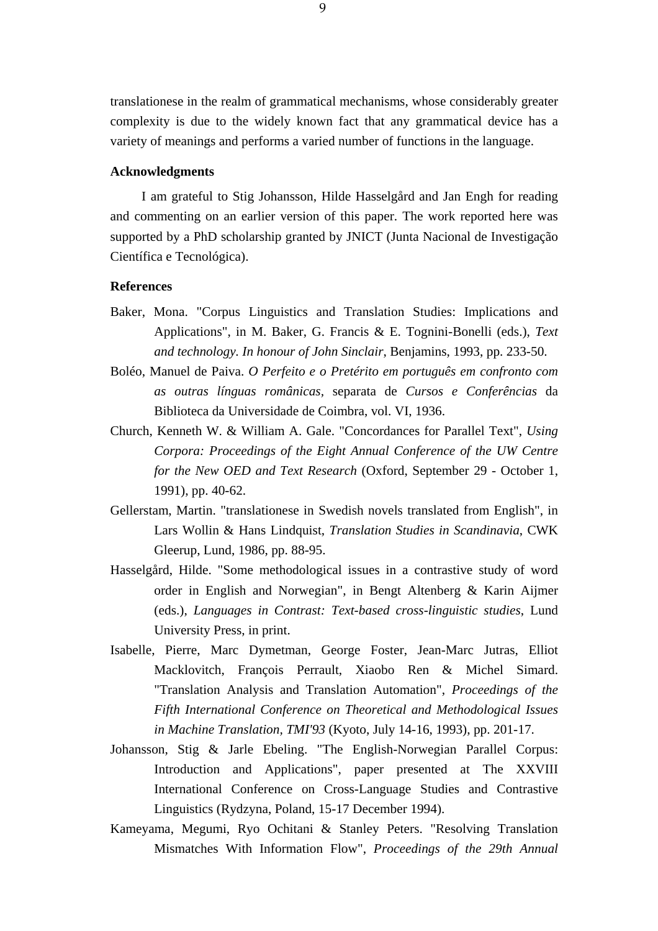translationese in the realm of grammatical mechanisms, whose considerably greater complexity is due to the widely known fact that any grammatical device has a variety of meanings and performs a varied number of functions in the language.

### **Acknowledgments**

I am grateful to Stig Johansson, Hilde Hasselgård and Jan Engh for reading and commenting on an earlier version of this paper. The work reported here was supported by a PhD scholarship granted by JNICT (Junta Nacional de Investigação Científica e Tecnológica).

#### **References**

- Baker, Mona. "Corpus Linguistics and Translation Studies: Implications and Applications", in M. Baker, G. Francis & E. Tognini-Bonelli (eds.), *Text and technology. In honour of John Sinclair*, Benjamins, 1993, pp. 233-50.
- Boléo, Manuel de Paiva. *O Perfeito e o Pretérito em português em confronto com as outras línguas românicas,* separata de *Cursos e Conferências* da Biblioteca da Universidade de Coimbra, vol. VI, 1936.
- Church, Kenneth W. & William A. Gale. "Concordances for Parallel Text", *Using Corpora: Proceedings of the Eight Annual Conference of the UW Centre for the New OED and Text Research* (Oxford, September 29 - October 1, 1991), pp. 40-62.
- Gellerstam, Martin. "translationese in Swedish novels translated from English", in Lars Wollin & Hans Lindquist, *Translation Studies in Scandinavia*, CWK Gleerup, Lund, 1986, pp. 88-95.
- Hasselgård, Hilde. "Some methodological issues in a contrastive study of word order in English and Norwegian", in Bengt Altenberg & Karin Aijmer (eds.), *Languages in Contrast: Text-based cross-linguistic studies*, Lund University Press, in print.
- Isabelle, Pierre, Marc Dymetman, George Foster, Jean-Marc Jutras, Elliot Macklovitch, François Perrault, Xiaobo Ren & Michel Simard. "Translation Analysis and Translation Automation", *Proceedings of the Fifth International Conference on Theoretical and Methodological Issues in Machine Translation, TMI'93* (Kyoto, July 14-16, 1993), pp. 201-17.
- Johansson, Stig & Jarle Ebeling. "The English-Norwegian Parallel Corpus: Introduction and Applications", paper presented at The XXVIII International Conference on Cross-Language Studies and Contrastive Linguistics (Rydzyna, Poland, 15-17 December 1994).
- Kameyama, Megumi, Ryo Ochitani & Stanley Peters. "Resolving Translation Mismatches With Information Flow", *Proceedings of the 29th Annual*